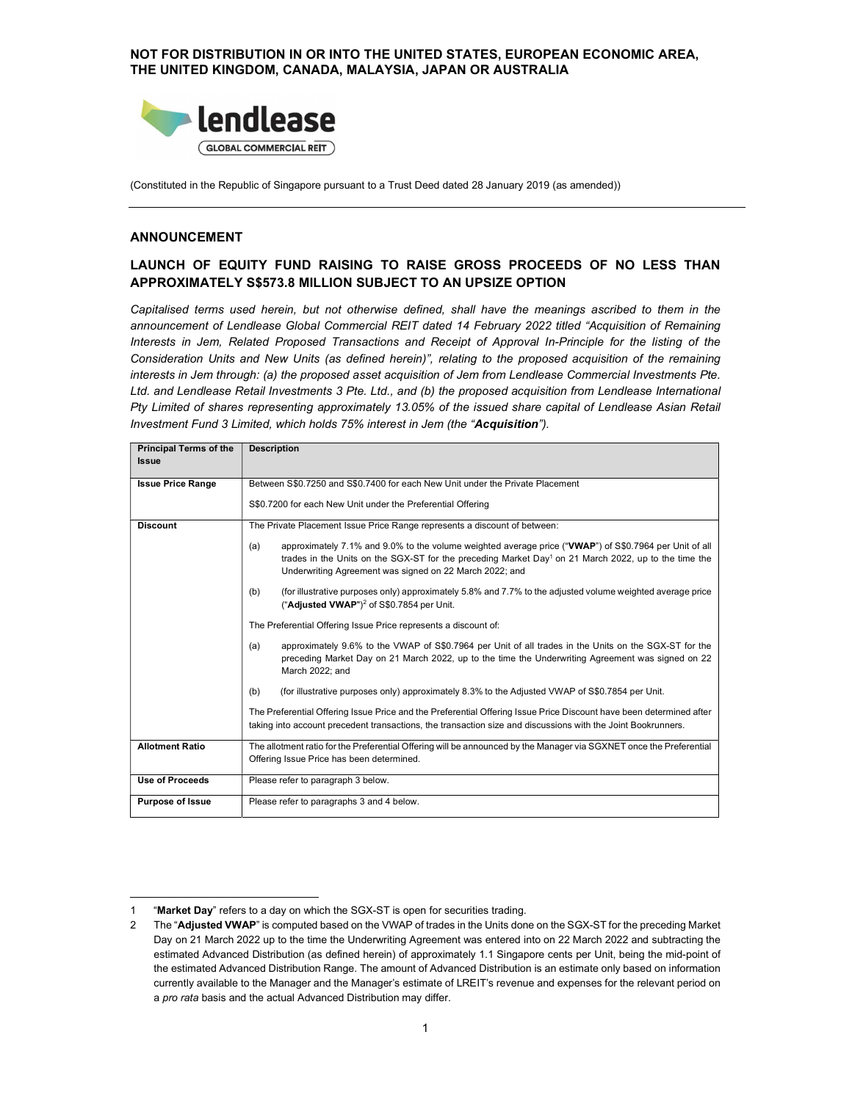NOT FOR DISTRIBUTION IN OR INTO THE UNITED STATES, EUROPEAN ECONOMIC AREA, THE UNITED KINGDOM, CANADA, MALAYSIA, JAPAN OR AUSTRALIA



(Constituted in the Republic of Singapore pursuant to a Trust Deed dated 28 January 2019 (as amended))

#### ANNOUNCEMENT

## LAUNCH OF EQUITY FUND RAISING TO RAISE GROSS PROCEEDS OF NO LESS THAN APPROXIMATELY S\$573.8 MILLION SUBJECT TO AN UPSIZE OPTION

Capitalised terms used herein, but not otherwise defined, shall have the meanings ascribed to them in the announcement of Lendlease Global Commercial REIT dated 14 February 2022 titled "Acquisition of Remaining Interests in Jem, Related Proposed Transactions and Receipt of Approval In-Principle for the listing of the Consideration Units and New Units (as defined herein)", relating to the proposed acquisition of the remaining interests in Jem through: (a) the proposed asset acquisition of Jem from Lendlease Commercial Investments Pte. Ltd. and Lendlease Retail Investments 3 Pte. Ltd., and (b) the proposed acquisition from Lendlease International Pty Limited of shares representing approximately 13.05% of the issued share capital of Lendlease Asian Retail Investment Fund 3 Limited, which holds 75% interest in Jem (the "Acquisition").

| <b>Principal Terms of the</b><br><b>Issue</b> | <b>Description</b>                                                                                                                                                                                                                                                                           |  |  |  |  |
|-----------------------------------------------|----------------------------------------------------------------------------------------------------------------------------------------------------------------------------------------------------------------------------------------------------------------------------------------------|--|--|--|--|
| <b>Issue Price Range</b>                      | Between S\$0.7250 and S\$0.7400 for each New Unit under the Private Placement                                                                                                                                                                                                                |  |  |  |  |
|                                               | S\$0.7200 for each New Unit under the Preferential Offering                                                                                                                                                                                                                                  |  |  |  |  |
| <b>Discount</b>                               | The Private Placement Issue Price Range represents a discount of between:                                                                                                                                                                                                                    |  |  |  |  |
|                                               | approximately 7.1% and 9.0% to the volume weighted average price ("VWAP") of S\$0.7964 per Unit of all<br>(a)<br>trades in the Units on the SGX-ST for the preceding Market Day <sup>1</sup> on 21 March 2022, up to the time the<br>Underwriting Agreement was signed on 22 March 2022; and |  |  |  |  |
|                                               | (for illustrative purposes only) approximately 5.8% and 7.7% to the adjusted volume weighted average price<br>(b)<br>("Adjusted VWAP") <sup>2</sup> of S\$0.7854 per Unit.                                                                                                                   |  |  |  |  |
|                                               | The Preferential Offering Issue Price represents a discount of:                                                                                                                                                                                                                              |  |  |  |  |
|                                               | (a)<br>approximately 9.6% to the VWAP of S\$0.7964 per Unit of all trades in the Units on the SGX-ST for the<br>preceding Market Day on 21 March 2022, up to the time the Underwriting Agreement was signed on 22<br>March 2022; and                                                         |  |  |  |  |
|                                               | (for illustrative purposes only) approximately 8.3% to the Adjusted VWAP of S\$0.7854 per Unit.<br>(b)                                                                                                                                                                                       |  |  |  |  |
|                                               | The Preferential Offering Issue Price and the Preferential Offering Issue Price Discount have been determined after<br>taking into account precedent transactions, the transaction size and discussions with the Joint Bookrunners.                                                          |  |  |  |  |
| <b>Allotment Ratio</b>                        | The allotment ratio for the Preferential Offering will be announced by the Manager via SGXNET once the Preferential                                                                                                                                                                          |  |  |  |  |
|                                               | Offering Issue Price has been determined.                                                                                                                                                                                                                                                    |  |  |  |  |
| <b>Use of Proceeds</b>                        | Please refer to paragraph 3 below.                                                                                                                                                                                                                                                           |  |  |  |  |
| <b>Purpose of Issue</b>                       | Please refer to paragraphs 3 and 4 below.                                                                                                                                                                                                                                                    |  |  |  |  |

<sup>1 &</sup>quot;Market Day" refers to a day on which the SGX-ST is open for securities trading.

<sup>2</sup> The "Adjusted VWAP" is computed based on the VWAP of trades in the Units done on the SGX-ST for the preceding Market Day on 21 March 2022 up to the time the Underwriting Agreement was entered into on 22 March 2022 and subtracting the estimated Advanced Distribution (as defined herein) of approximately 1.1 Singapore cents per Unit, being the mid-point of the estimated Advanced Distribution Range. The amount of Advanced Distribution is an estimate only based on information currently available to the Manager and the Manager's estimate of LREIT's revenue and expenses for the relevant period on<br>a *pro rata* basis and the actual Advanced Distribution may differ.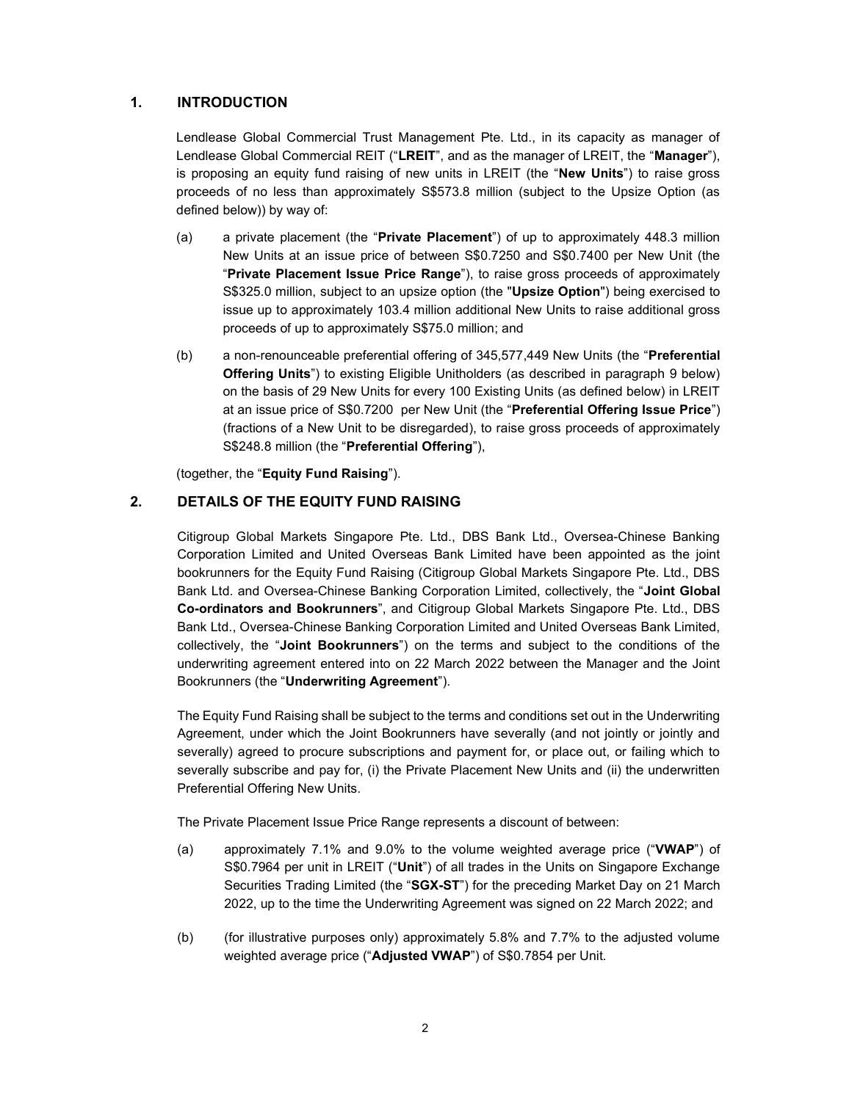## 1. INTRODUCTION

Lendlease Global Commercial Trust Management Pte. Ltd., in its capacity as manager of Lendlease Global Commercial REIT ("LREIT", and as the manager of LREIT, the "Manager"), is proposing an equity fund raising of new units in LREIT (the "New Units") to raise gross proceeds of no less than approximately S\$573.8 million (subject to the Upsize Option (as defined below)) by way of:

- (a) a private placement (the "Private Placement") of up to approximately 448.3 million New Units at an issue price of between S\$0.7250 and S\$0.7400 per New Unit (the "Private Placement Issue Price Range"), to raise gross proceeds of approximately S\$325.0 million, subject to an upsize option (the "Upsize Option") being exercised to issue up to approximately 103.4 million additional New Units to raise additional gross proceeds of up to approximately S\$75.0 million; and
- (b) a non-renounceable preferential offering of 345,577,449 New Units (the "Preferential Offering Units") to existing Eligible Unitholders (as described in paragraph 9 below) on the basis of 29 New Units for every 100 Existing Units (as defined below) in LREIT at an issue price of S\$0.7200 per New Unit (the "Preferential Offering Issue Price") (fractions of a New Unit to be disregarded), to raise gross proceeds of approximately S\$248.8 million (the "Preferential Offering"),

(together, the "Equity Fund Raising").

### 2. DETAILS OF THE EQUITY FUND RAISING

Citigroup Global Markets Singapore Pte. Ltd., DBS Bank Ltd., Oversea-Chinese Banking Corporation Limited and United Overseas Bank Limited have been appointed as the joint bookrunners for the Equity Fund Raising (Citigroup Global Markets Singapore Pte. Ltd., DBS Bank Ltd. and Oversea-Chinese Banking Corporation Limited, collectively, the "Joint Global Co-ordinators and Bookrunners", and Citigroup Global Markets Singapore Pte. Ltd., DBS Bank Ltd., Oversea-Chinese Banking Corporation Limited and United Overseas Bank Limited, collectively, the "Joint Bookrunners") on the terms and subject to the conditions of the underwriting agreement entered into on 22 March 2022 between the Manager and the Joint Bookrunners (the "Underwriting Agreement").

The Equity Fund Raising shall be subject to the terms and conditions set out in the Underwriting Agreement, under which the Joint Bookrunners have severally (and not jointly or jointly and severally) agreed to procure subscriptions and payment for, or place out, or failing which to severally subscribe and pay for, (i) the Private Placement New Units and (ii) the underwritten Preferential Offering New Units.

The Private Placement Issue Price Range represents a discount of between:

- (a) approximately 7.1% and 9.0% to the volume weighted average price ("VWAP") of S\$0.7964 per unit in LREIT ("Unit") of all trades in the Units on Singapore Exchange Securities Trading Limited (the "SGX-ST") for the preceding Market Day on 21 March 2022, up to the time the Underwriting Agreement was signed on 22 March 2022; and
- (b) (for illustrative purposes only) approximately 5.8% and 7.7% to the adjusted volume weighted average price ("Adjusted VWAP") of S\$0.7854 per Unit.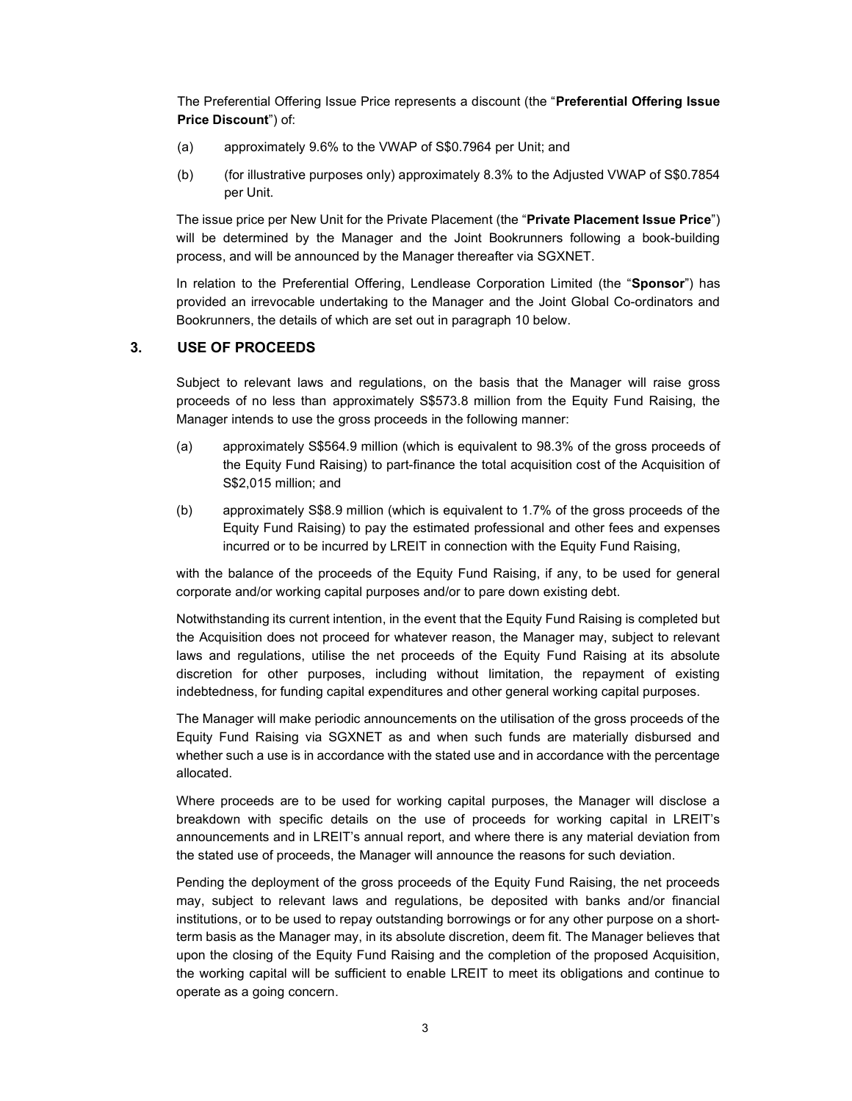The Preferential Offering Issue Price represents a discount (the "Preferential Offering Issue Price Discount") of:

- (a) approximately 9.6% to the VWAP of S\$0.7964 per Unit; and
- (b) (for illustrative purposes only) approximately 8.3% to the Adjusted VWAP of S\$0.7854 per Unit.

The issue price per New Unit for the Private Placement (the "Private Placement Issue Price") will be determined by the Manager and the Joint Bookrunners following a book-building process, and will be announced by the Manager thereafter via SGXNET.

In relation to the Preferential Offering, Lendlease Corporation Limited (the "Sponsor") has provided an irrevocable undertaking to the Manager and the Joint Global Co-ordinators and Bookrunners, the details of which are set out in paragraph 10 below.

### 3. USE OF PROCEEDS

Subject to relevant laws and regulations, on the basis that the Manager will raise gross proceeds of no less than approximately S\$573.8 million from the Equity Fund Raising, the Manager intends to use the gross proceeds in the following manner:

- (a) approximately S\$564.9 million (which is equivalent to 98.3% of the gross proceeds of the Equity Fund Raising) to part-finance the total acquisition cost of the Acquisition of S\$2,015 million; and
- (b) approximately S\$8.9 million (which is equivalent to 1.7% of the gross proceeds of the Equity Fund Raising) to pay the estimated professional and other fees and expenses incurred or to be incurred by LREIT in connection with the Equity Fund Raising,

with the balance of the proceeds of the Equity Fund Raising, if any, to be used for general corporate and/or working capital purposes and/or to pare down existing debt.

Notwithstanding its current intention, in the event that the Equity Fund Raising is completed but the Acquisition does not proceed for whatever reason, the Manager may, subject to relevant laws and regulations, utilise the net proceeds of the Equity Fund Raising at its absolute discretion for other purposes, including without limitation, the repayment of existing indebtedness, for funding capital expenditures and other general working capital purposes.

The Manager will make periodic announcements on the utilisation of the gross proceeds of the Equity Fund Raising via SGXNET as and when such funds are materially disbursed and whether such a use is in accordance with the stated use and in accordance with the percentage allocated.

Where proceeds are to be used for working capital purposes, the Manager will disclose a breakdown with specific details on the use of proceeds for working capital in LREIT's announcements and in LREIT's annual report, and where there is any material deviation from the stated use of proceeds, the Manager will announce the reasons for such deviation.

Pending the deployment of the gross proceeds of the Equity Fund Raising, the net proceeds may, subject to relevant laws and regulations, be deposited with banks and/or financial institutions, or to be used to repay outstanding borrowings or for any other purpose on a shortterm basis as the Manager may, in its absolute discretion, deem fit. The Manager believes that upon the closing of the Equity Fund Raising and the completion of the proposed Acquisition, the working capital will be sufficient to enable LREIT to meet its obligations and continue to operate as a going concern.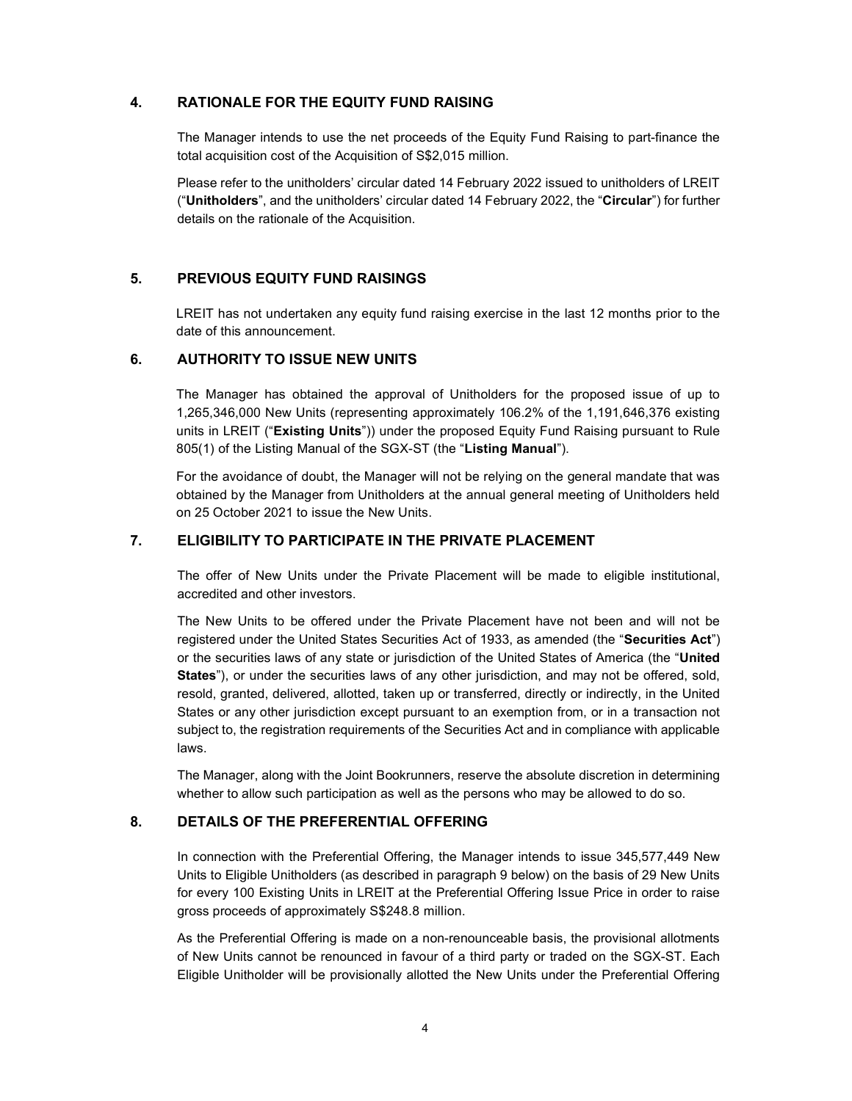## 4. RATIONALE FOR THE EQUITY FUND RAISING

The Manager intends to use the net proceeds of the Equity Fund Raising to part-finance the total acquisition cost of the Acquisition of S\$2,015 million.

Please refer to the unitholders' circular dated 14 February 2022 issued to unitholders of LREIT ("Unitholders", and the unitholders' circular dated 14 February 2022, the "Circular") for further details on the rationale of the Acquisition.

#### 5. PREVIOUS EQUITY FUND RAISINGS

LREIT has not undertaken any equity fund raising exercise in the last 12 months prior to the date of this announcement.

### 6. AUTHORITY TO ISSUE NEW UNITS

The Manager has obtained the approval of Unitholders for the proposed issue of up to 1,265,346,000 New Units (representing approximately 106.2% of the 1,191,646,376 existing units in LREIT ("Existing Units")) under the proposed Equity Fund Raising pursuant to Rule 805(1) of the Listing Manual of the SGX-ST (the "Listing Manual").

For the avoidance of doubt, the Manager will not be relying on the general mandate that was obtained by the Manager from Unitholders at the annual general meeting of Unitholders held on 25 October 2021 to issue the New Units.

#### 7. ELIGIBILITY TO PARTICIPATE IN THE PRIVATE PLACEMENT

The offer of New Units under the Private Placement will be made to eligible institutional, accredited and other investors.

The New Units to be offered under the Private Placement have not been and will not be registered under the United States Securities Act of 1933, as amended (the "Securities Act") or the securities laws of any state or jurisdiction of the United States of America (the "United States"), or under the securities laws of any other jurisdiction, and may not be offered, sold, resold, granted, delivered, allotted, taken up or transferred, directly or indirectly, in the United States or any other jurisdiction except pursuant to an exemption from, or in a transaction not subject to, the registration requirements of the Securities Act and in compliance with applicable laws.

The Manager, along with the Joint Bookrunners, reserve the absolute discretion in determining whether to allow such participation as well as the persons who may be allowed to do so.

#### 8. DETAILS OF THE PREFERENTIAL OFFERING

In connection with the Preferential Offering, the Manager intends to issue 345,577,449 New Units to Eligible Unitholders (as described in paragraph 9 below) on the basis of 29 New Units for every 100 Existing Units in LREIT at the Preferential Offering Issue Price in order to raise gross proceeds of approximately S\$248.8 million.

As the Preferential Offering is made on a non-renounceable basis, the provisional allotments of New Units cannot be renounced in favour of a third party or traded on the SGX-ST. Each Eligible Unitholder will be provisionally allotted the New Units under the Preferential Offering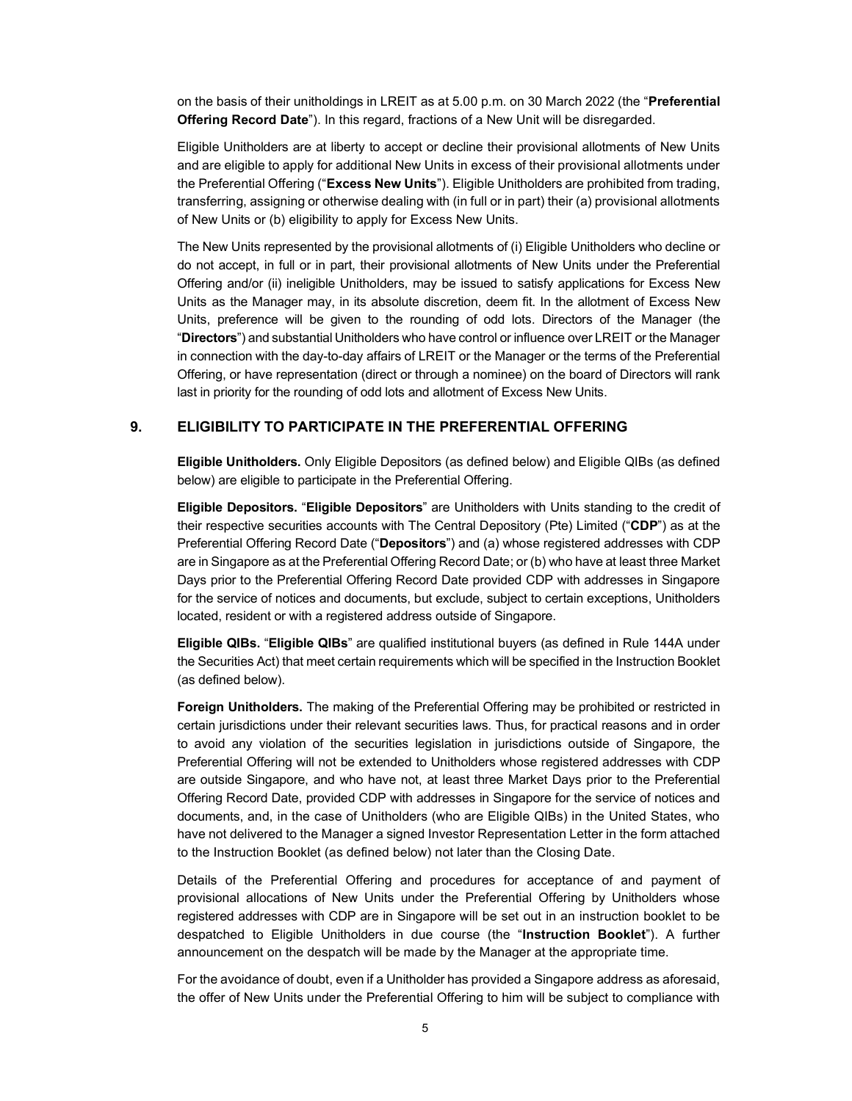on the basis of their unitholdings in LREIT as at 5.00 p.m. on 30 March 2022 (the "Preferential Offering Record Date"). In this regard, fractions of a New Unit will be disregarded.

Eligible Unitholders are at liberty to accept or decline their provisional allotments of New Units and are eligible to apply for additional New Units in excess of their provisional allotments under the Preferential Offering ("Excess New Units"). Eligible Unitholders are prohibited from trading, transferring, assigning or otherwise dealing with (in full or in part) their (a) provisional allotments of New Units or (b) eligibility to apply for Excess New Units.

The New Units represented by the provisional allotments of (i) Eligible Unitholders who decline or do not accept, in full or in part, their provisional allotments of New Units under the Preferential Offering and/or (ii) ineligible Unitholders, may be issued to satisfy applications for Excess New Units as the Manager may, in its absolute discretion, deem fit. In the allotment of Excess New Units, preference will be given to the rounding of odd lots. Directors of the Manager (the "Directors") and substantial Unitholders who have control or influence over LREIT or the Manager in connection with the day-to-day affairs of LREIT or the Manager or the terms of the Preferential Offering, or have representation (direct or through a nominee) on the board of Directors will rank last in priority for the rounding of odd lots and allotment of Excess New Units.

#### 9. ELIGIBILITY TO PARTICIPATE IN THE PREFERENTIAL OFFERING

Eligible Unitholders. Only Eligible Depositors (as defined below) and Eligible QIBs (as defined below) are eligible to participate in the Preferential Offering.

Eligible Depositors. "Eligible Depositors" are Unitholders with Units standing to the credit of their respective securities accounts with The Central Depository (Pte) Limited ("CDP") as at the Preferential Offering Record Date ("Depositors") and (a) whose registered addresses with CDP are in Singapore as at the Preferential Offering Record Date; or (b) who have at least three Market Days prior to the Preferential Offering Record Date provided CDP with addresses in Singapore for the service of notices and documents, but exclude, subject to certain exceptions, Unitholders located, resident or with a registered address outside of Singapore.

Eligible QIBs. "Eligible QIBs" are qualified institutional buyers (as defined in Rule 144A under the Securities Act) that meet certain requirements which will be specified in the Instruction Booklet (as defined below).

Foreign Unitholders. The making of the Preferential Offering may be prohibited or restricted in certain jurisdictions under their relevant securities laws. Thus, for practical reasons and in order to avoid any violation of the securities legislation in jurisdictions outside of Singapore, the Preferential Offering will not be extended to Unitholders whose registered addresses with CDP are outside Singapore, and who have not, at least three Market Days prior to the Preferential Offering Record Date, provided CDP with addresses in Singapore for the service of notices and documents, and, in the case of Unitholders (who are Eligible QIBs) in the United States, who have not delivered to the Manager a signed Investor Representation Letter in the form attached to the Instruction Booklet (as defined below) not later than the Closing Date.

Details of the Preferential Offering and procedures for acceptance of and payment of provisional allocations of New Units under the Preferential Offering by Unitholders whose registered addresses with CDP are in Singapore will be set out in an instruction booklet to be despatched to Eligible Unitholders in due course (the "Instruction Booklet"). A further announcement on the despatch will be made by the Manager at the appropriate time.

For the avoidance of doubt, even if a Unitholder has provided a Singapore address as aforesaid, the offer of New Units under the Preferential Offering to him will be subject to compliance with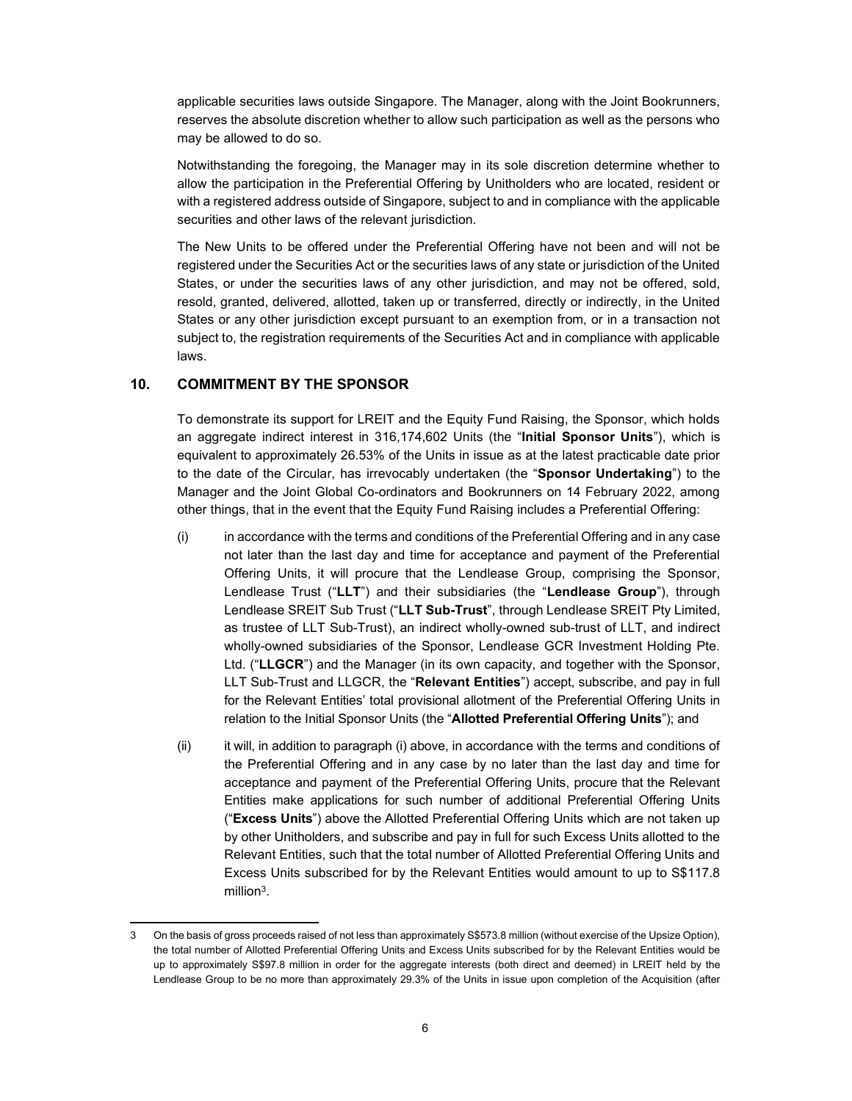applicable securities laws outside Singapore. The Manager, along with the Joint Bookrunners, reserves the absolute discretion whether to allow such participation as well as the persons who may be allowed to do so.

Notwithstanding the foregoing, the Manager may in its sole discretion determine whether to allow the participation in the Preferential Offering by Unitholders who are located, resident or with a registered address outside of Singapore, subject to and in compliance with the applicable securities and other laws of the relevant jurisdiction.

The New Units to be offered under the Preferential Offering have not been and will not be registered under the Securities Act or the securities laws of any state or jurisdiction of the United States, or under the securities laws of any other jurisdiction, and may not be offered, sold, resold, granted, delivered, allotted, taken up or transferred, directly or indirectly, in the United States or any other jurisdiction except pursuant to an exemption from, or in a transaction not subject to, the registration requirements of the Securities Act and in compliance with applicable laws.

## 10. COMMITMENT BY THE SPONSOR

To demonstrate its support for LREIT and the Equity Fund Raising, the Sponsor, which holds an aggregate indirect interest in 316,174,602 Units (the "Initial Sponsor Units"), which is equivalent to approximately 26.53% of the Units in issue as at the latest practicable date prior to the date of the Circular, has irrevocably undertaken (the "Sponsor Undertaking") to the Manager and the Joint Global Co-ordinators and Bookrunners on 14 February 2022, among other things, that in the event that the Equity Fund Raising includes a Preferential Offering:

- (i) in accordance with the terms and conditions of the Preferential Offering and in any case not later than the last day and time for acceptance and payment of the Preferential Offering Units, it will procure that the Lendlease Group, comprising the Sponsor, Lendlease Trust ("LLT") and their subsidiaries (the "Lendlease Group"), through Lendlease SREIT Sub Trust ("LLT Sub-Trust", through Lendlease SREIT Pty Limited, as trustee of LLT Sub-Trust), an indirect wholly-owned sub-trust of LLT, and indirect wholly-owned subsidiaries of the Sponsor, Lendlease GCR Investment Holding Pte. Ltd. ("LLGCR") and the Manager (in its own capacity, and together with the Sponsor, LLT Sub-Trust and LLGCR, the "Relevant Entities") accept, subscribe, and pay in full for the Relevant Entities' total provisional allotment of the Preferential Offering Units in relation to the Initial Sponsor Units (the "Allotted Preferential Offering Units"); and
- (ii) it will, in addition to paragraph (i) above, in accordance with the terms and conditions of the Preferential Offering and in any case by no later than the last day and time for acceptance and payment of the Preferential Offering Units, procure that the Relevant Entities make applications for such number of additional Preferential Offering Units ("Excess Units") above the Allotted Preferential Offering Units which are not taken up by other Unitholders, and subscribe and pay in full for such Excess Units allotted to the Relevant Entities, such that the total number of Allotted Preferential Offering Units and Excess Units subscribed for by the Relevant Entities would amount to up to S\$117.8 million<sup>3</sup> .

<sup>3</sup> On the basis of gross proceeds raised of not less than approximately S\$573.8 million (without exercise of the Upsize Option), the total number of Allotted Preferential Offering Units and Excess Units subscribed for by the Relevant Entities would be up to approximately S\$97.8 million in order for the aggregate interests (both direct and deemed) in LREIT held by the Lendlease Group to be no more than approximately 29.3% of the Units in issue upon completion of the Acquisition (after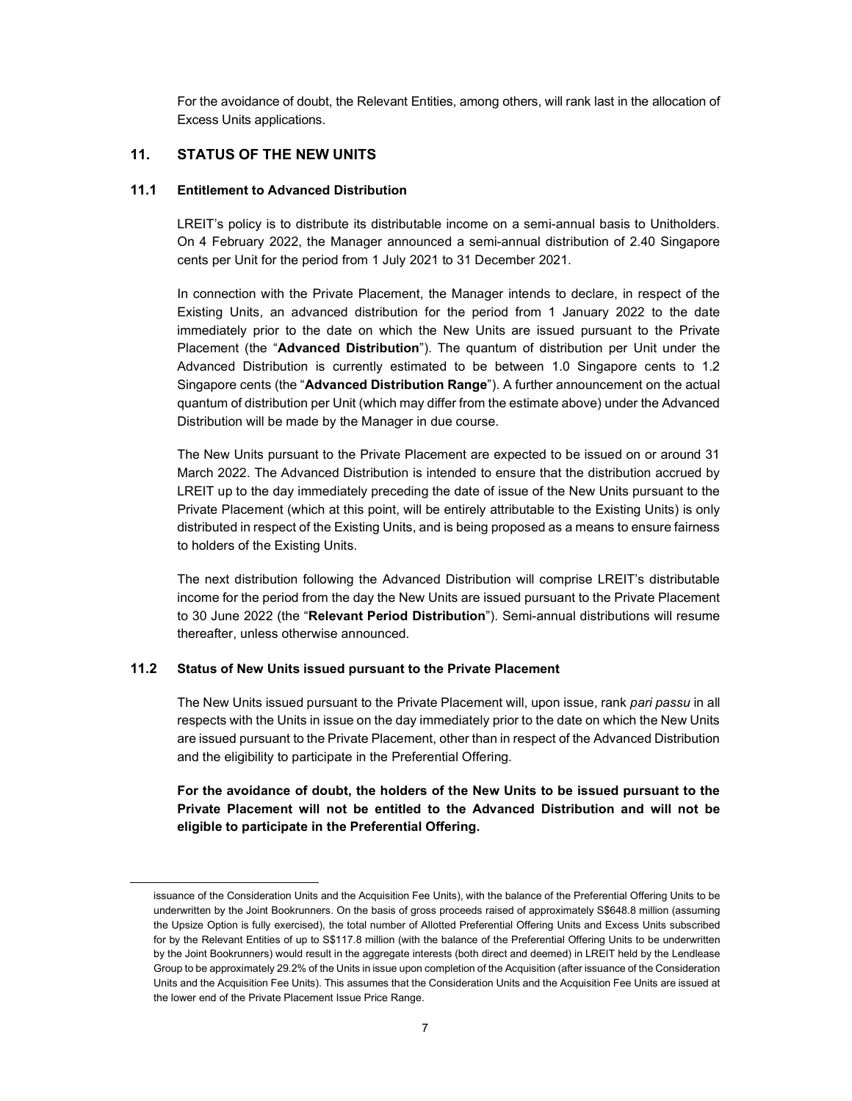For the avoidance of doubt, the Relevant Entities, among others, will rank last in the allocation of Excess Units applications.

## 11. STATUS OF THE NEW UNITS

#### 11.1 Entitlement to Advanced Distribution

LREIT's policy is to distribute its distributable income on a semi-annual basis to Unitholders. On 4 February 2022, the Manager announced a semi-annual distribution of 2.40 Singapore cents per Unit for the period from 1 July 2021 to 31 December 2021.

In connection with the Private Placement, the Manager intends to declare, in respect of the Existing Units, an advanced distribution for the period from 1 January 2022 to the date immediately prior to the date on which the New Units are issued pursuant to the Private Placement (the "Advanced Distribution"). The quantum of distribution per Unit under the Advanced Distribution is currently estimated to be between 1.0 Singapore cents to 1.2 Singapore cents (the "Advanced Distribution Range"). A further announcement on the actual quantum of distribution per Unit (which may differ from the estimate above) under the Advanced Distribution will be made by the Manager in due course.

The New Units pursuant to the Private Placement are expected to be issued on or around 31 March 2022. The Advanced Distribution is intended to ensure that the distribution accrued by LREIT up to the day immediately preceding the date of issue of the New Units pursuant to the Private Placement (which at this point, will be entirely attributable to the Existing Units) is only distributed in respect of the Existing Units, and is being proposed as a means to ensure fairness to holders of the Existing Units.

The next distribution following the Advanced Distribution will comprise LREIT's distributable income for the period from the day the New Units are issued pursuant to the Private Placement to 30 June 2022 (the "Relevant Period Distribution"). Semi-annual distributions will resume thereafter, unless otherwise announced.

#### 11.2 Status of New Units issued pursuant to the Private Placement

The New Units issued pursuant to the Private Placement will, upon issue, rank pari passu in all respects with the Units in issue on the day immediately prior to the date on which the New Units are issued pursuant to the Private Placement, other than in respect of the Advanced Distribution and the eligibility to participate in the Preferential Offering.

For the avoidance of doubt, the holders of the New Units to be issued pursuant to the Private Placement will not be entitled to the Advanced Distribution and will not be eligible to participate in the Preferential Offering.

issuance of the Consideration Units and the Acquisition Fee Units), with the balance of the Preferential Offering Units to be underwritten by the Joint Bookrunners. On the basis of gross proceeds raised of approximately S\$648.8 million (assuming the Upsize Option is fully exercised), the total number of Allotted Preferential Offering Units and Excess Units subscribed for by the Relevant Entities of up to S\$117.8 million (with the balance of the Preferential Offering Units to be underwritten by the Joint Bookrunners) would result in the aggregate interests (both direct and deemed) in LREIT held by the Lendlease Group to be approximately 29.2% of the Units in issue upon completion of the Acquisition (after issuance of the Consideration Units and the Acquisition Fee Units). This assumes that the Consideration Units and the Acquisition Fee Units are issued at the lower end of the Private Placement Issue Price Range.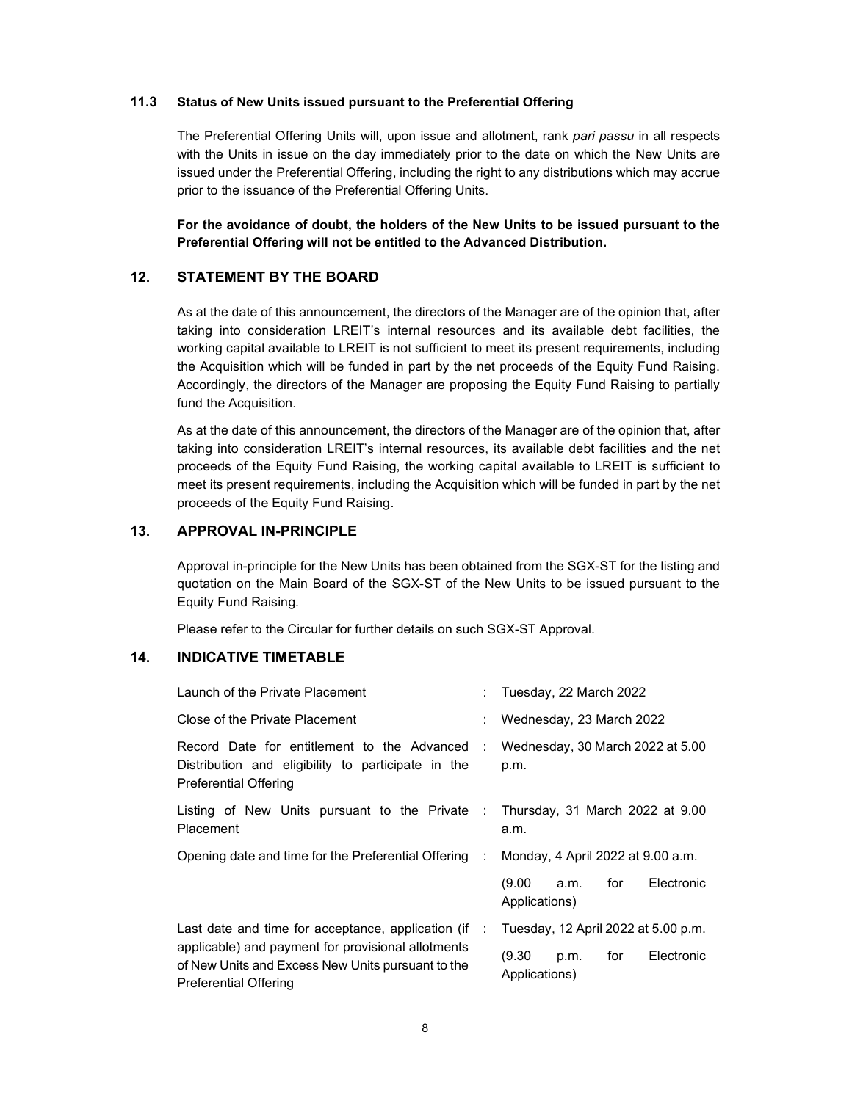#### 11.3 Status of New Units issued pursuant to the Preferential Offering

The Preferential Offering Units will, upon issue and allotment, rank pari passu in all respects with the Units in issue on the day immediately prior to the date on which the New Units are issued under the Preferential Offering, including the right to any distributions which may accrue prior to the issuance of the Preferential Offering Units.

For the avoidance of doubt, the holders of the New Units to be issued pursuant to the Preferential Offering will not be entitled to the Advanced Distribution.

### 12. STATEMENT BY THE BOARD

As at the date of this announcement, the directors of the Manager are of the opinion that, after taking into consideration LREIT's internal resources and its available debt facilities, the working capital available to LREIT is not sufficient to meet its present requirements, including the Acquisition which will be funded in part by the net proceeds of the Equity Fund Raising. Accordingly, the directors of the Manager are proposing the Equity Fund Raising to partially fund the Acquisition.

As at the date of this announcement, the directors of the Manager are of the opinion that, after taking into consideration LREIT's internal resources, its available debt facilities and the net proceeds of the Equity Fund Raising, the working capital available to LREIT is sufficient to meet its present requirements, including the Acquisition which will be funded in part by the net proceeds of the Equity Fund Raising.

## 13. APPROVAL IN-PRINCIPLE

Approval in-principle for the New Units has been obtained from the SGX-ST for the listing and quotation on the Main Board of the SGX-ST of the New Units to be issued pursuant to the Equity Fund Raising.

Please refer to the Circular for further details on such SGX-ST Approval.

## 14. INDICATIVE TIMETABLE

| Launch of the Private Placement                                                                                                                                                               |  | : Tuesday, 22 March 2022                         |  |  |
|-----------------------------------------------------------------------------------------------------------------------------------------------------------------------------------------------|--|--------------------------------------------------|--|--|
| Close of the Private Placement                                                                                                                                                                |  | : Wednesday, 23 March 2022                       |  |  |
| Record Date for entitlement to the Advanced : Wednesday, 30 March 2022 at 5.00<br>Distribution and eligibility to participate in the<br><b>Preferential Offering</b>                          |  | p.m.                                             |  |  |
| Listing of New Units pursuant to the Private : Thursday, 31 March 2022 at 9.00<br>Placement                                                                                                   |  | a.m.                                             |  |  |
| Opening date and time for the Preferential Offering :                                                                                                                                         |  | Monday, 4 April 2022 at 9.00 a.m.                |  |  |
|                                                                                                                                                                                               |  | (9.00 a.m.<br>for<br>Electronic<br>Applications) |  |  |
| Last date and time for acceptance, application (if<br>applicable) and payment for provisional allotments<br>of New Units and Excess New Units pursuant to the<br><b>Preferential Offering</b> |  | Tuesday, 12 April 2022 at 5.00 p.m.              |  |  |
|                                                                                                                                                                                               |  | (9.30 p.m.<br>for<br>Electronic<br>Applications) |  |  |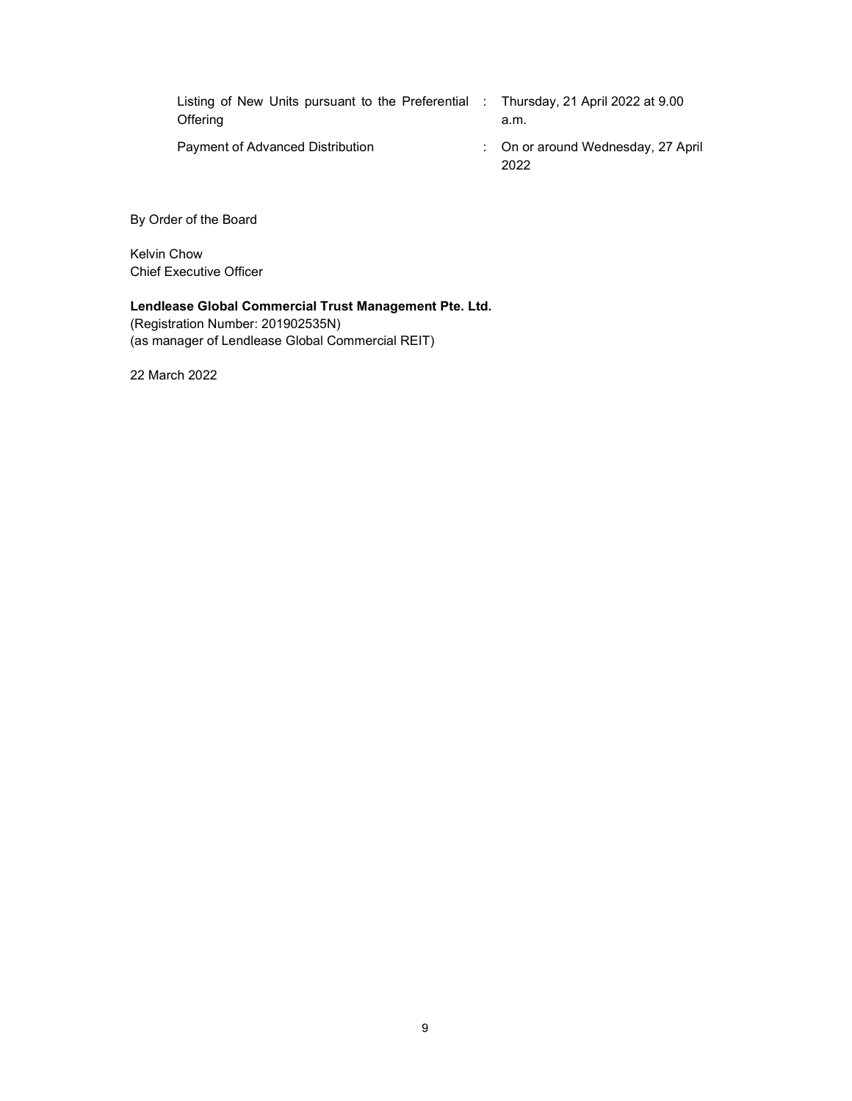| Listing of New Units pursuant to the Preferential : Thursday, 21 April 2022 at 9.00<br>Offering |  | a.m.                                       |
|-------------------------------------------------------------------------------------------------|--|--------------------------------------------|
| Payment of Advanced Distribution                                                                |  | : On or around Wednesday, 27 April<br>2022 |

By Order of the Board

Kelvin Chow Chief Executive Officer

# Lendlease Global Commercial Trust Management Pte. Ltd.

(Registration Number: 201902535N) (as manager of Lendlease Global Commercial REIT)

22 March 2022